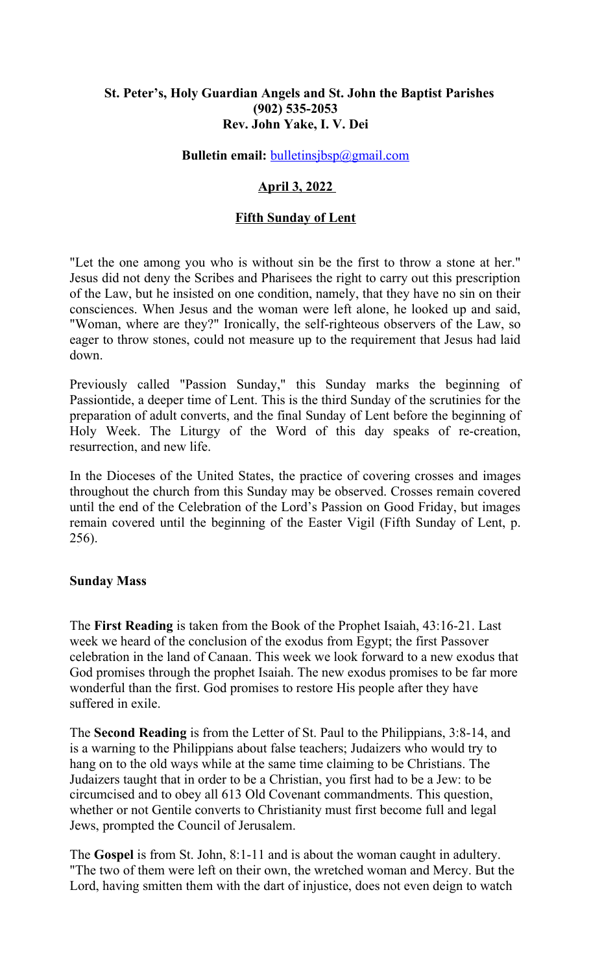# **St. Peter's, Holy Guardian Angels and St. John the Baptist Parishes (902) 535-2053 Rev. John Yake, I. V. Dei**

### **Bulletin email:** [bulletinsjbsp@gmail.com](mailto:bulletinsjbsp@gmail.com)

# **April 3, 2022**

### **Fifth Sunday of Lent**

"Let the one among you who is without sin be the first to throw a stone at her." Jesus did not deny the Scribes and Pharisees the right to carry out this prescription of the Law, but he insisted on one condition, namely, that they have no sin on their consciences. When Jesus and the woman were left alone, he looked up and said, "Woman, where are they?" Ironically, the self-righteous observers of the Law, so eager to throw stones, could not measure up to the requirement that Jesus had laid down.

Previously called "Passion Sunday," this Sunday marks the beginning of Passiontide, a deeper time of Lent. This is the third Sunday of the scrutinies for the preparation of adult converts, and the final Sunday of Lent before the beginning of Holy Week. The Liturgy of the Word of this day speaks of re-creation, resurrection, and new life.

In the Dioceses of the United States, the practice of covering crosses and images throughout the church from this Sunday may be observed. Crosses remain covered until the end of the Celebration of the Lord's Passion on Good Friday, but images remain covered until the beginning of the Easter Vigil (Fifth Sunday of Lent, p. 256).

### **Sunday Mass**

The **First Reading** is taken from the Book of the Prophet Isaiah, 43:16-21. Last week we heard of the conclusion of the exodus from Egypt; the first Passover celebration in the land of Canaan. This week we look forward to a new exodus that God promises through the prophet Isaiah. The new exodus promises to be far more wonderful than the first. God promises to restore His people after they have suffered in exile.

The **Second Reading** is from the Letter of St. Paul to the Philippians, 3:8-14, and is a warning to the Philippians about false teachers; Judaizers who would try to hang on to the old ways while at the same time claiming to be Christians. The Judaizers taught that in order to be a Christian, you first had to be a Jew: to be circumcised and to obey all 613 Old Covenant commandments. This question, whether or not Gentile converts to Christianity must first become full and legal Jews, prompted the Council of Jerusalem.

The **Gospel** is from St. John, 8:1-11 and is about the woman caught in adultery. "The two of them were left on their own, the wretched woman and Mercy. But the Lord, having smitten them with the dart of injustice, does not even deign to watch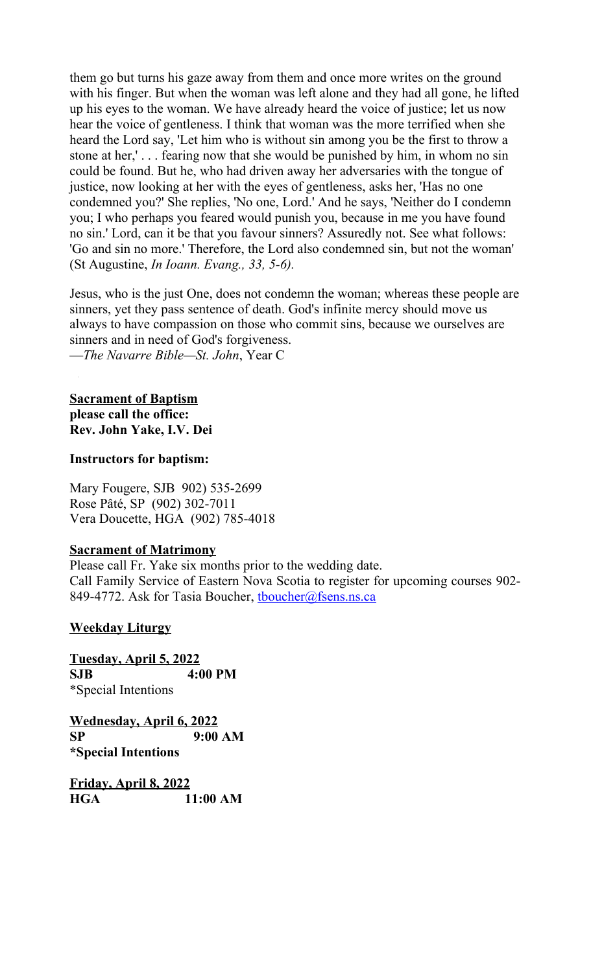them go but turns his gaze away from them and once more writes on the ground with his finger. But when the woman was left alone and they had all gone, he lifted up his eyes to the woman. We have already heard the voice of justice; let us now hear the voice of gentleness. I think that woman was the more terrified when she heard the Lord say, 'Let him who is without sin among you be the first to throw a stone at her,' . . . fearing now that she would be punished by him, in whom no sin could be found. But he, who had driven away her adversaries with the tongue of justice, now looking at her with the eyes of gentleness, asks her, 'Has no one condemned you?' She replies, 'No one, Lord.' And he says, 'Neither do I condemn you; I who perhaps you feared would punish you, because in me you have found no sin.' Lord, can it be that you favour sinners? Assuredly not. See what follows: 'Go and sin no more.' Therefore, the Lord also condemned sin, but not the woman' (St Augustine, *In Ioann. Evang., 33, 5-6).*

Jesus, who is the just One, does not condemn the woman; whereas these people are sinners, yet they pass sentence of death. God's infinite mercy should move us always to have compassion on those who commit sins, because we ourselves are sinners and in need of God's forgiveness. —*The Navarre Bible—St. John*, Year C

**Sacrament of Baptism please call the office: Rev. John Yake, I.V. Dei**

### **Instructors for baptism:**

Mary Fougere, SJB 902) 535-2699 Rose Pâté, SP (902) 302-7011 Vera Doucette, HGA (902) 785-4018

# **Sacrament of Matrimony**

Please call Fr. Yake six months prior to the wedding date. Call Family Service of Eastern Nova Scotia to register for upcoming courses 902- 849-4772. Ask for Tasia Boucher, thoucher@fsens.ns.ca

# **Weekday Liturgy**

**Tuesday, April 5, 2022 SJB 4:00 PM** \*Special Intentions

**Wednesday, April 6, 2022 SP 9:00 AM \*Special Intentions**

**Friday, April 8, 2022 HGA 11:00 AM**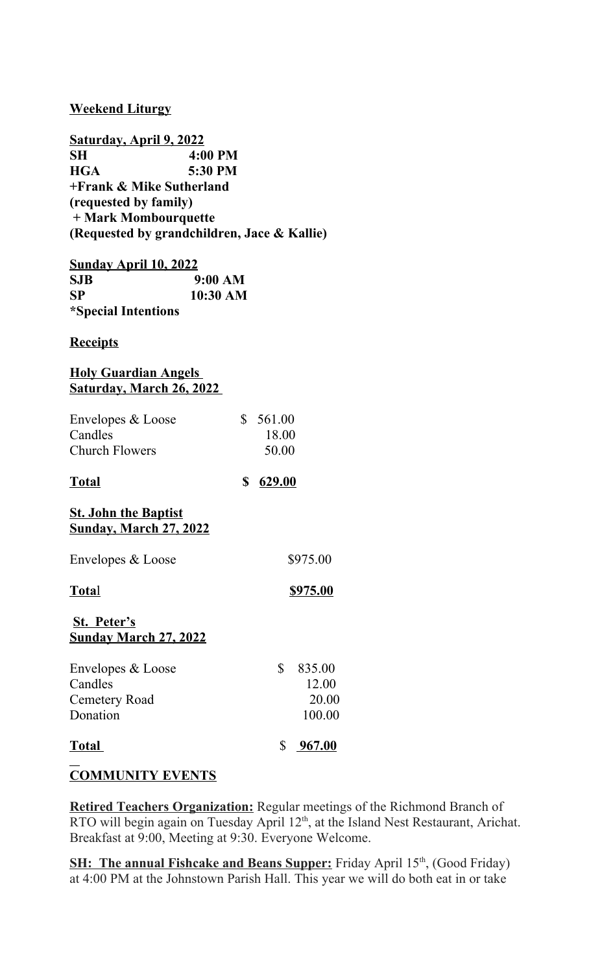# **Weekend Liturgy**

**Saturday, April 9, 2022 SH 4:00 PM HGA 5:30 PM +Frank & Mike Sutherland (requested by family) + Mark Mombourquette (Requested by grandchildren, Jace & Kallie)**

**Sunday April 10, 2022 SJB 9:00 AM SP 10:30 AM \*Special Intentions**

### **Receipts**

# **Holy Guardian Angels Saturday, March 26, 2022**

| Envelopes & Loose     | \$561.00 |
|-----------------------|----------|
| Candles               | 18.00    |
| <b>Church Flowers</b> | 50.00    |

**Total \$ 629.00**

# **St. John the Baptist Sunday, March 27, 2022**

| Envelopes & Loose | \$975.00 |
|-------------------|----------|
|                   |          |

**Total** \$975.00

# **St. Peter's**

# **Sunday March 27, 2022**

| Envelopes & Loose<br>Candles | S | 835.00<br>12.00 |
|------------------------------|---|-----------------|
| Cemetery Road<br>Donation    |   | 20.00<br>100.00 |
| <b>Total</b>                 |   | \$967.00        |
|                              |   |                 |

# **COMMUNITY EVENTS**

**Retired Teachers Organization:** Regular meetings of the Richmond Branch of RTO will begin again on Tuesday April 12<sup>th</sup>, at the Island Nest Restaurant, Arichat. Breakfast at 9:00, Meeting at 9:30. Everyone Welcome.

**SH: The annual Fishcake and Beans Supper:** Friday April 15<sup>th</sup>, (Good Friday) at 4:00 PM at the Johnstown Parish Hall. This year we will do both eat in or take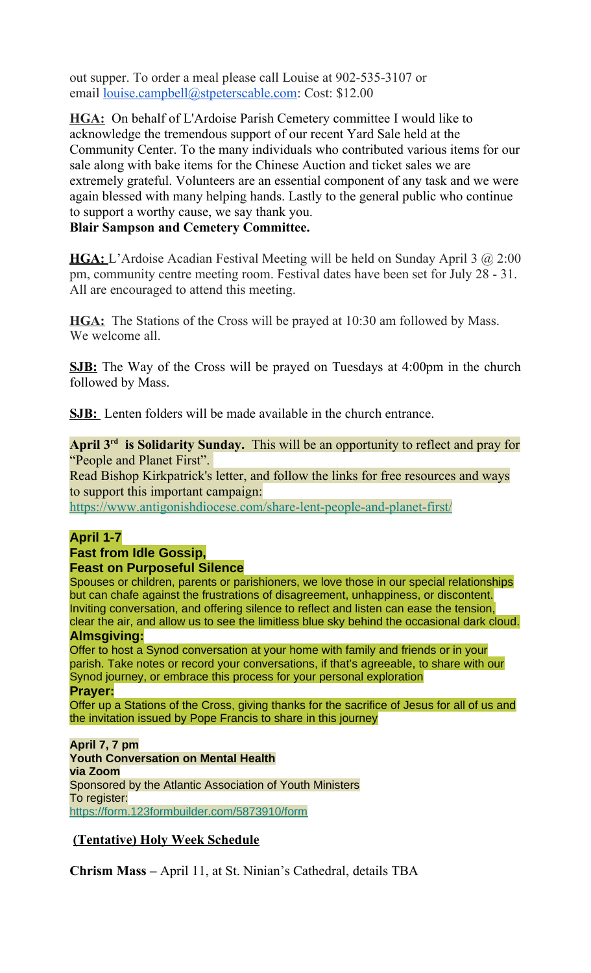out supper. To order a meal please call Louise at 902-535-3107 or email [louise.campbell@stpeterscable.com:](mailto:louise.campbell@stpeterscable.com) Cost: \$12.00

**HGA:** On behalf of L'Ardoise Parish Cemetery committee I would like to acknowledge the tremendous support of our recent Yard Sale held at the Community Center. To the many individuals who contributed various items for our sale along with bake items for the Chinese Auction and ticket sales we are extremely grateful. Volunteers are an essential component of any task and we were again blessed with many helping hands. Lastly to the general public who continue to support a worthy cause, we say thank you.

# **Blair Sampson and Cemetery Committee.**

**HGA:** L'Ardoise Acadian Festival Meeting will be held on Sunday April 3 @ 2:00 pm, community centre meeting room. Festival dates have been set for July 28 - 31. All are encouraged to attend this meeting.

**HGA:** The Stations of the Cross will be prayed at 10:30 am followed by Mass. We welcome all.

**SJB:** The Way of the Cross will be prayed on Tuesdays at 4:00pm in the church followed by Mass.

**SJB:** Lenten folders will be made available in the church entrance.

**April 3rd is Solidarity Sunday.** This will be an opportunity to reflect and pray for "People and Planet First".

Read Bishop Kirkpatrick's letter, and follow the links for free resources and ways to support this important campaign:

[https://www.antigonishdiocese.com/share-lent-people-and-planet-first/](https://antigonishdiocese.us11.list-manage.com/track/click?u=46108c95b96680ff598b4aa1d&id=3bc85de865&e=60939d450d)

# **April 1-7**

#### **Fast from Idle Gossip, Feast on Purposeful Silence**

Spouses or children, parents or parishioners, we love those in our special relationships but can chafe against the frustrations of disagreement, unhappiness, or discontent. Inviting conversation, and offering silence to reflect and listen can ease the tension, clear the air, and allow us to see the limitless blue sky behind the occasional dark cloud.

**Almsgiving:**

Offer to host a Synod conversation at your home with family and friends or in your parish. Take notes or record your conversations, if that's agreeable, to share with our Synod journey, or embrace this process for your personal exploration **Prayer:**

Offer up a Stations of the Cross, giving thanks for the sacrifice of Jesus for all of us and the invitation issued by Pope Francis to share in this journey

**April 7, 7 pm Youth Conversation on Mental Health via Zoom** Sponsored by the Atlantic Association of Youth Ministers To register: [https://form.123formbuilder.com/5873910/form](https://antigonishdiocese.us11.list-manage.com/track/click?u=46108c95b96680ff598b4aa1d&id=4aaa755fc3&e=60939d450d)

# **(Tentative) Holy Week Schedule**

**Chrism Mass –** April 11, at St. Ninian's Cathedral, details TBA